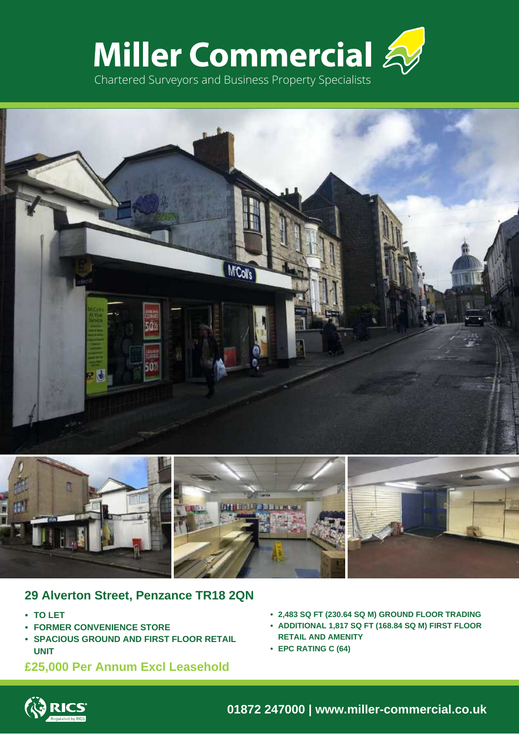





# **29 Alverton Street, Penzance TR18 2QN**

- **• TO LET**
- **• FORMER CONVENIENCE STORE**
- **• SPACIOUS GROUND AND FIRST FLOOR RETAIL UNIT**
- **£25,000 Per Annum Excl Leasehold**
- **• 2,483 SQ FT (230.64 SQ M) GROUND FLOOR TRADING**
- **• ADDITIONAL 1,817 SQ FT (168.84 SQ M) FIRST FLOOR RETAIL AND AMENITY**
- **• EPC RATING C (64)**



**01872 247000 | www.miller-commercial.co.uk**